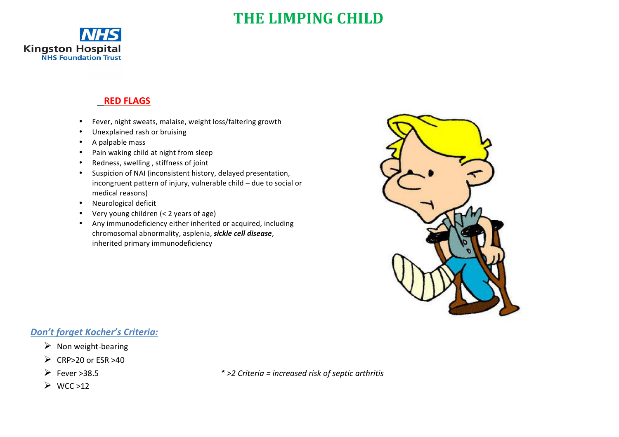# **THE LIMPING CHILD**



### **RED FLAGS**

- Fever, night sweats, malaise, weight loss/faltering growth
- Unexplained rash or bruising
- A palpable mass
- Pain waking child at night from sleep
- Redness, swelling, stiffness of joint
- Suspicion of NAI (inconsistent history, delayed presentation, incongruent pattern of injury, vulnerable child  $-$  due to social or medical reasons)
- Neurological deficit
- Very young children (< 2 years of age)
- Any immunodeficiency either inherited or acquired, including chromosomal abnormality, asplenia, **sickle cell disease**, inherited primary immunodeficiency



### *Don't forget Kocher's Criteria:*

- $\triangleright$  Non weight-bearing
- $\triangleright$  CRP>20 or ESR >40
- 
- $\triangleright$  WCC >12

Ø Fever >38.5 *\* >2 Criteria = increased risk of septic arthritis*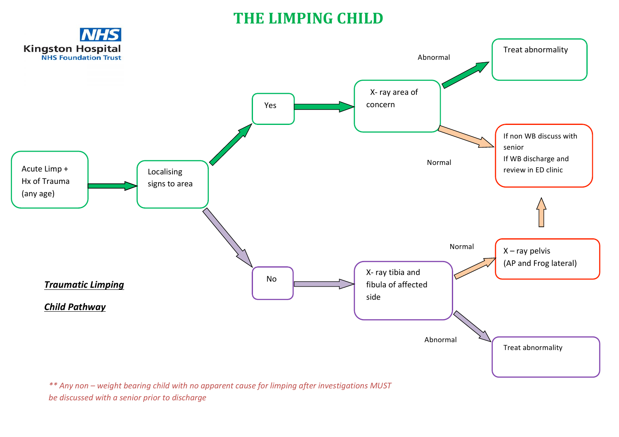# **THE LIMPING CHILD**



*\*\* Any non – weight bearing child with no apparent cause for limping after investigations MUST be discussed with a senior prior to discharge*